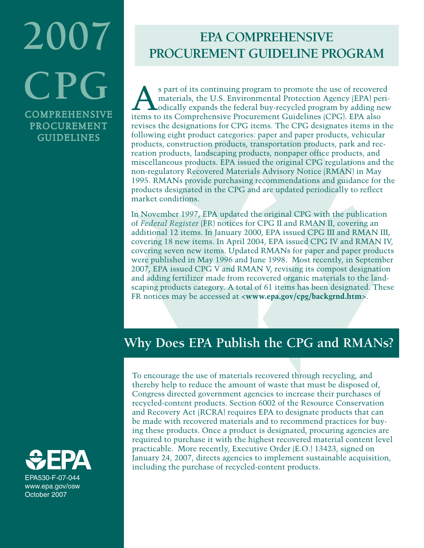# **2007 CPG** COMPREHENSIVE

PROCUREMENT GUIDELINES

# **EPA COMPREHENSIVE PROCUREMENT GUIDELINE PROGRAM**

S part of its continuing program to promote the use of recovered<br>
materials, the U.S. Environmental Protection Agency (EPA) peri-<br>
odically expands the federal buy-recycled program by adding new<br>
items to its Comprehensive materials, the U.S. Environmental Protection Agency (EPA) periitems to its Comprehensive Procurement Guidelines (CPG). EPA also revises the designations for CPG items. The CPG designates items in the following eight product categories: paper and paper products, vehicular products, construction products, transportation products, park and recreation products, landscaping products, nonpaper office products, and miscellaneous products. EPA issued the original CPG regulations and the non-regulatory Recovered Materials Advisory Notice (RMAN) in May 1995. RMANs provide purchasing recommendations and guidance for the products designated in the CPG and are updated periodically to reflect market conditions.

In November 1997, EPA updated the original CPG with the publication of *Federal Register* (FR) notices for CPG II and RMAN II, covering an additional 12 items. In January 2000, EPA issued CPG III and RMAN III, covering 18 new items. In April 2004, EPA issued CPG IV and RMAN IV, covering seven new items. Updated RMANs for paper and paper products were published in May 1996 and June 1998. Most recently, in September 2007, EPA issued CPG V and RMAN V, revising its compost designation and adding fertilizer made from recovered organic materials to the landscaping products category. A total of 61 items has been designated. These FR notices may be accessed at **<www.epa.gov/cpg/backgrnd.htm>**.

# **Why Does EPA Publish the CPG and RMANs?**

To encourage the use of materials recovered through recycling, and thereby help to reduce the amount of waste that must be disposed of, Congress directed government agencies to increase their purchases of recycled-content products. Section 6002 of the Resource Conservation and Recovery Act (RCRA) requires EPA to designate products that can be made with recovered materials and to recommend practices for buying these products. Once a product is designated, procuring agencies are required to purchase it with the highest recovered material content level practicable. More recently, Executive Order (E.O.) 13423, signed on January 24, 2007, directs agencies to implement sustainable acquisition, including the purchase of recycled-content products.

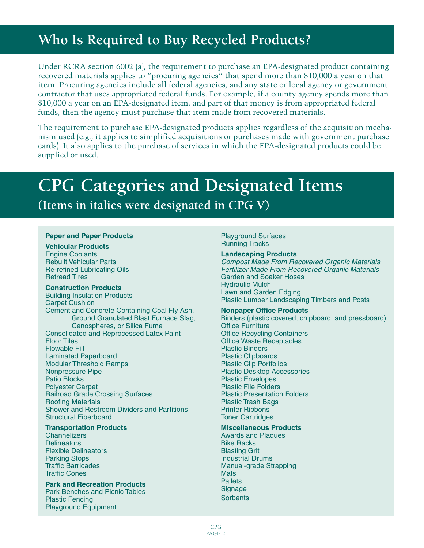# **Who Is Required to Buy Recycled Products?**

Under RCRA section 6002 (a), the requirement to purchase an EPA-designated product containing recovered materials applies to "procuring agencies" that spend more than \$10,000 a year on that item. Procuring agencies include all federal agencies, and any state or local agency or government contractor that uses appropriated federal funds. For example, if a county agency spends more than \$10,000 a year on an EPA-designated item, and part of that money is from appropriated federal funds, then the agency must purchase that item made from recovered materials.

The requirement to purchase EPA-designated products applies regardless of the acquisition mechanism used (e.g., it applies to simplified acquisitions or purchases made with government purchase cards). It also applies to the purchase of services in which the EPA-designated products could be supplied or used.

# **CPG Categories and Designated Items**

### **(Items in italics were designated in CPG V)**

#### **Paper and Paper Products**

#### **Vehicular Products**

Engine Coolants Rebuilt Vehicular Parts Re-refined Lubricating Oils Retread Tires

#### **Construction Products**

Building Insulation Products Carpet Cushion Cement and Concrete Containing Coal Fly Ash, Ground Granulated Blast Furnace Slag, Cenospheres, or Silica Fume Consolidated and Reprocessed Latex Paint Floor Tiles Flowable Fill Laminated Paperboard Modular Threshold Ramps Nonpressure Pipe Patio Blocks Polyester Carpet Railroad Grade Crossing Surfaces Roofing Materials Shower and Restroom Dividers and Partitions Structural Fiberboard

#### **Transportation Products**

**Channelizers Delineators** Flexible Delineators Parking Stops Traffic Barricades Traffic Cones

#### **Park and Recreation Products** Park Benches and Picnic Tables Plastic Fencing Playground Equipment

Playground Surfaces Running Tracks

#### **Landscaping Products**

*Compost Made From Recovered Organic Materials Fertilizer Made From Recovered Organic Materials* Garden and Soaker Hoses Hydraulic Mulch Lawn and Garden Edging Plastic Lumber Landscaping Timbers and Posts

#### **Nonpaper Office Products**

Binders (plastic covered, chipboard, and pressboard) Office Furniture Office Recycling Containers Office Waste Receptacles Plastic Binders Plastic Clipboards Plastic Clip Portfolios Plastic Desktop Accessories Plastic Envelopes Plastic File Folders Plastic Presentation Folders Plastic Trash Bags Printer Ribbons Toner Cartridges

#### **Miscellaneous Products**

Awards and Plaques Bike Racks Blasting Grit Industrial Drums Manual-grade Strapping **Mats Pallets Signage Sorbents**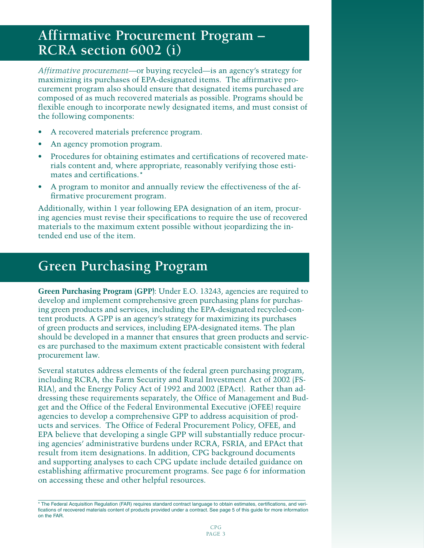# **Affirmative Procurement Program – RCRA section 6002 (i)**

*Affirmative procurement*—or buying recycled—is an agency's strategy for maximizing its purchases of EPA-designated items. The affirmative procurement program also should ensure that designated items purchased are composed of as much recovered materials as possible. Programs should be flexible enough to incorporate newly designated items, and must consist of the following components:

- A recovered materials preference program. •
- An agency promotion program. •
- Procedures for obtaining estimates and certifications of recovered materials content and, where appropriate, reasonably verifying those estimates and certifications.\* •
- A program to monitor and annually review the effectiveness of the affirmative procurement program. •

Additionally, within 1 year following EPA designation of an item, procuring agencies must revise their specifications to require the use of recovered materials to the maximum extent possible without jeopardizing the intended end use of the item.

# **Green Purchasing Program**

**Green Purchasing Program (GPP)**: Under E.O. 13243, agencies are required to develop and implement comprehensive green purchasing plans for purchasing green products and services, including the EPA-designated recycled-content products. A GPP is an agency's strategy for maximizing its purchases of green products and services, including EPA-designated items. The plan should be developed in a manner that ensures that green products and services are purchased to the maximum extent practicable consistent with federal procurement law.

Several statutes address elements of the federal green purchasing program, including RCRA, the Farm Security and Rural Investment Act of 2002 (FS-RIA), and the Energy Policy Act of 1992 and 2002 (EPAct). Rather than addressing these requirements separately, the Office of Management and Budget and the Office of the Federal Environmental Executive (OFEE) require agencies to develop a comprehensive GPP to address acquisition of products and services. The Office of Federal Procurement Policy, OFEE, and EPA believe that developing a single GPP will substantially reduce procuring agencies' administrative burdens under RCRA, FSRIA, and EPAct that result from item designations. In addition, CPG background documents and supporting analyses to each CPG update include detailed guidance on establishing affirmative procurement programs. See page 6 for information on accessing these and other helpful resources.

<sup>\*</sup> The Federal Acquisition Regulation (FAR) requires standard contract language to obtain estimates, certifications, and verifications of recovered materials content of products provided under a contract. See page 5 of this guide for more information on the FAR.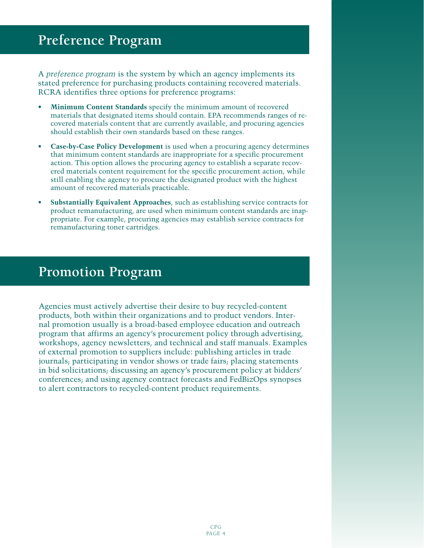A *preference program* is the system by which an agency implements its stated preference for purchasing products containing recovered materials. RCRA identifies three options for preference programs:

- **Minimum Content Standards** specify the minimum amount of recovered materials that designated items should contain. EPA recommends ranges of recovered materials content that are currently available, and procuring agencies should establish their own standards based on these ranges. **•**
- **Case-by-Case Policy Development** is used when a procuring agency determines that minimum content standards are inappropriate for a specific procurement action. This option allows the procuring agency to establish a separate recovered materials content requirement for the specific procurement action, while still enabling the agency to procure the designated product with the highest amount of recovered materials practicable. **•**
- **Substantially Equivalent Approaches**, such as establishing service contracts for product remanufacturing, are used when minimum content standards are inappropriate. For example, procuring agencies may establish service contracts for remanufacturing toner cartridges. **•**

## **Promotion Program**

Agencies must actively advertise their desire to buy recycled-content products, both within their organizations and to product vendors. Internal promotion usually is a broad-based employee education and outreach program that affirms an agency's procurement policy through advertising, workshops, agency newsletters, and technical and staff manuals. Examples of external promotion to suppliers include: publishing articles in trade journals; participating in vendor shows or trade fairs; placing statements in bid solicitations; discussing an agency's procurement policy at bidders' conferences; and using agency contract forecasts and FedBizOps synopses to alert contractors to recycled-content product requirements.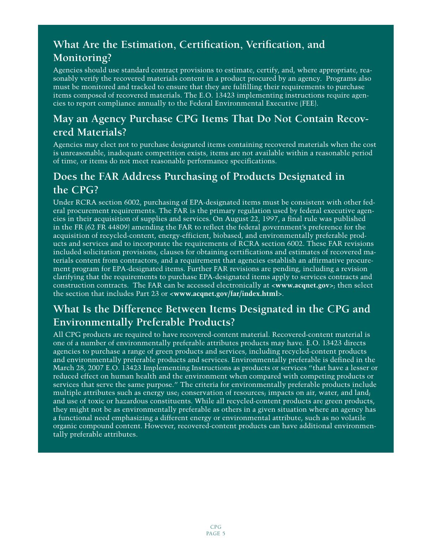### **What Are the Estimation, Certification, Verification, and Monitoring?**

Agencies should use standard contract provisions to estimate, certify, and, where appropriate, reasonably verify the recovered materials content in a product procured by an agency. Programs also must be monitored and tracked to ensure that they are fulfilling their requirements to purchase items composed of recovered materials. The E.O. 13423 implementing instructions require agencies to report compliance annually to the Federal Environmental Executive (FEE).

### **May an Agency Purchase CPG Items That Do Not Contain Recovered Materials?**

Agencies may elect not to purchase designated items containing recovered materials when the cost is unreasonable, inadequate competition exists, items are not available within a reasonable period of time, or items do not meet reasonable performance specifications.

### **Does the FAR Address Purchasing of Products Designated in the CPG?**

Under RCRA section 6002, purchasing of EPA-designated items must be consistent with other federal procurement requirements. The FAR is the primary regulation used by federal executive agencies in their acquisition of supplies and services. On August 22, 1997, a final rule was published in the FR (62 FR 44809) amending the FAR to reflect the federal government's preference for the acquisition of recycled-content, energy-efficient, biobased, and environmentally preferable products and services and to incorporate the requirements of RCRA section 6002. These FAR revisions included solicitation provisions, clauses for obtaining certifications and estimates of recovered materials content from contractors, and a requirement that agencies establish an affirmative procurement program for EPA-designated items. Further FAR revisions are pending, including a revision clarifying that the requirements to purchase EPA-designated items apply to services contracts and construction contracts. The FAR can be accessed electronically at **<www.acqnet.gov>**; then select the section that includes Part 23 or **<www.acqnet.gov/far/index.html>**.

### **What Is the Difference Between Items Designated in the CPG and Environmentally Preferable Products?**

All CPG products are required to have recovered-content material. Recovered-content material is one of a number of environmentally preferable attributes products may have. E.O. 13423 directs agencies to purchase a range of green products and services, including recycled-content products and environmentally preferable products and services. Environmentally preferable is defined in the March 28, 2007 E.O. 13423 Implementing Instructions as products or services "that have a lesser or reduced effect on human health and the environment when compared with competing products or services that serve the same purpose." The criteria for environmentally preferable products include multiple attributes such as energy use; conservation of resources; impacts on air, water, and land; and use of toxic or hazardous constituents. While all recycled-content products are green products, they might not be as environmentally preferable as others in a given situation where an agency has a functional need emphasizing a different energy or environmental attribute, such as no volatile organic compound content. However, recovered-content products can have additional environmentally preferable attributes.